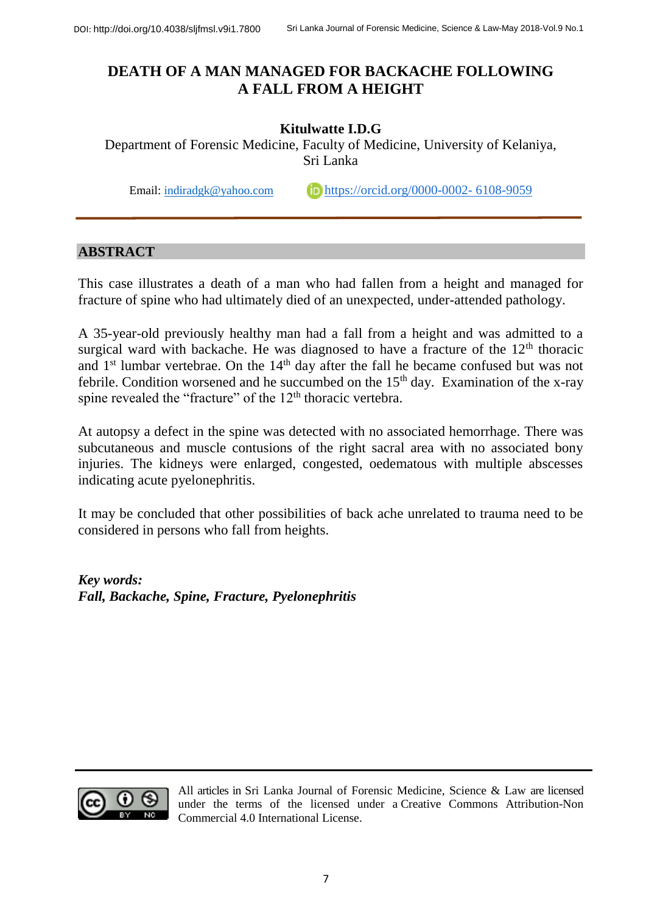# **DEATH OF A MAN MANAGED FOR BACKACHE FOLLOWING A FALL FROM A HEIGHT**

## **Kitulwatte I.D.G**

Department of Forensic Medicine, Faculty of Medicine, University of Kelaniya, Sri Lanka

Email: [indiradgk@yahoo.com](mailto:indiradgk@yahoo.com) [https://orcid.org/0000-0002-](https://orcid.org/0000-0002-6108-9059) 6108-9059

### **ABSTRACT**

This case illustrates a death of a man who had fallen from a height and managed for fracture of spine who had ultimately died of an unexpected, under-attended pathology.

A 35-year-old previously healthy man had a fall from a height and was admitted to a surgical ward with backache. He was diagnosed to have a fracture of the  $12<sup>th</sup>$  thoracic and 1<sup>st</sup> lumbar vertebrae. On the 14<sup>th</sup> day after the fall he became confused but was not febrile. Condition worsened and he succumbed on the  $15<sup>th</sup>$  day. Examination of the x-ray spine revealed the "fracture" of the 12<sup>th</sup> thoracic vertebra.

At autopsy a defect in the spine was detected with no associated hemorrhage. There was subcutaneous and muscle contusions of the right sacral area with no associated bony injuries. The kidneys were enlarged, congested, oedematous with multiple abscesses indicating acute pyelonephritis.

It may be concluded that other possibilities of back ache unrelated to trauma need to be considered in persons who fall from heights.

*Key words: Fall, Backache, Spine, Fracture, Pyelonephritis*



All articles in Sri Lanka Journal of Forensic Medicine, Science & Law are licensed under the terms of the licensed under a [Creative Commons Attribution-Non](http://creativecommons.org/licenses/by-nc/4.0/)  [Commercial 4.0 International License.](http://creativecommons.org/licenses/by-nc/4.0/)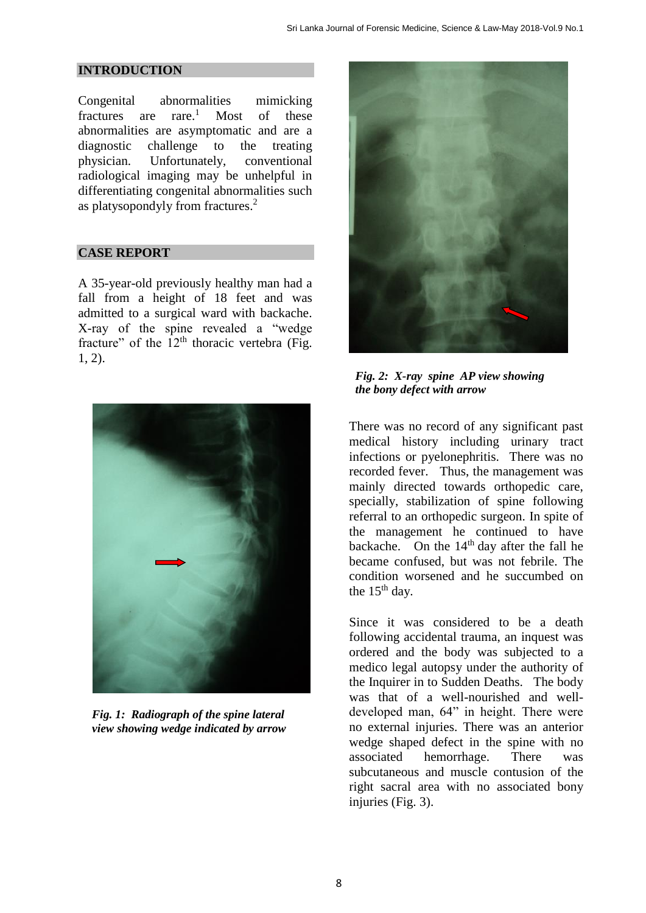#### **INTRODUCTION**

Congenital abnormalities mimicking fractures are rare. Most of these abnormalities are asymptomatic and are a diagnostic challenge to the treating physician. Unfortunately, conventional radiological imaging may be unhelpful in differentiating congenital abnormalities such as platysopondyly from fractures. 2

#### **CASE REPORT**

A 35-year-old previously healthy man had a fall from a height of 18 feet and was admitted to a surgical ward with backache. X-ray of the spine revealed a "wedge fracture" of the  $12<sup>th</sup>$  thoracic vertebra (Fig. 1, 2).



*Fig. 1: Radiograph of the spine lateral view showing wedge indicated by arrow* 



*Fig. 2: X-ray spine AP view showing the bony defect with arrow* 

There was no record of any significant past medical history including urinary tract infections or pyelonephritis. There was no recorded fever. Thus, the management was mainly directed towards orthopedic care, specially, stabilization of spine following referral to an orthopedic surgeon. In spite of the management he continued to have backache. On the  $14<sup>th</sup>$  day after the fall he became confused, but was not febrile. The condition worsened and he succumbed on the  $15<sup>th</sup>$  day.

Since it was considered to be a death following accidental trauma, an inquest was ordered and the body was subjected to a medico legal autopsy under the authority of the Inquirer in to Sudden Deaths. The body was that of a well-nourished and welldeveloped man, 64" in height. There were no external injuries. There was an anterior wedge shaped defect in the spine with no associated hemorrhage. There was subcutaneous and muscle contusion of the right sacral area with no associated bony injuries (Fig. 3).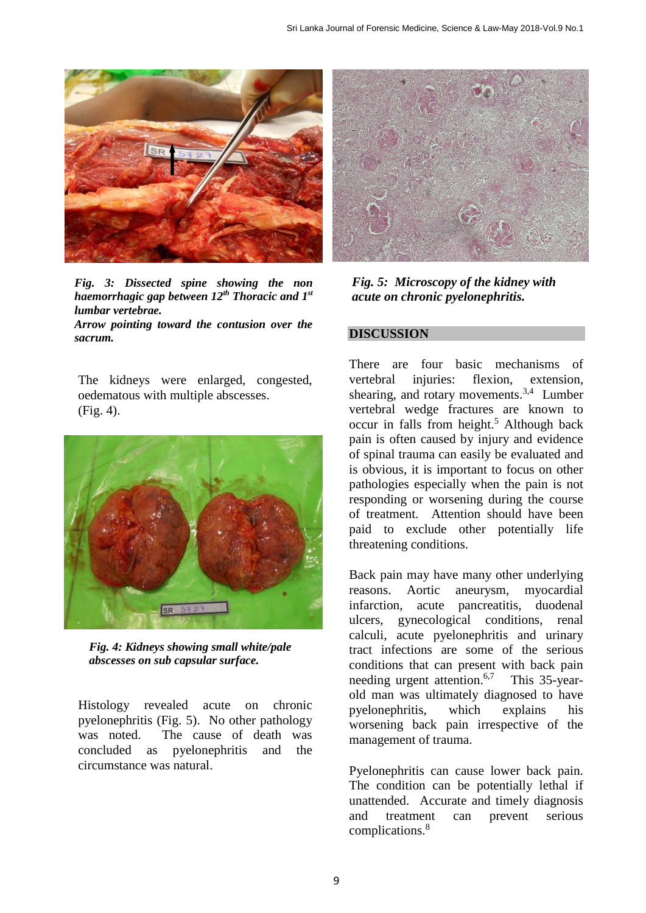

*Fig. 3: Dissected spine showing the non haemorrhagic gap between 12th Thoracic and 1st lumbar vertebrae. Arrow pointing toward the contusion over the* 

*sacrum.*

The kidneys were enlarged, congested, oedematous with multiple abscesses. (Fig. 4).



*Fig. 4: Kidneys showing small white/pale abscesses on sub capsular surface.* 

Histology revealed acute on chronic pyelonephritis (Fig. 5). No other pathology was noted. The cause of death was concluded as pyelonephritis and the circumstance was natural.



*Fig. 5: Microscopy of the kidney with acute on chronic pyelonephritis.*

#### **DISCUSSION**

There are four basic mechanisms of vertebral injuries: flexion, extension, shearing, and rotary movements.<sup>3,4</sup> Lumber vertebral wedge fractures are known to occur in falls from height. <sup>5</sup> Although back pain is often caused by injury and evidence of spinal trauma can easily be evaluated and is obvious, it is important to focus on other pathologies especially when the pain is not responding or worsening during the course of treatment. Attention should have been paid to exclude other potentially life threatening conditions.

Back pain may have many other underlying reasons. Aortic aneurysm, myocardial infarction, acute pancreatitis, duodenal ulcers, gynecological conditions, renal calculi, acute pyelonephritis and urinary tract infections are some of the serious conditions that can present with back pain needing urgent attention.<sup>6,7</sup> This 35-yearold man was ultimately diagnosed to have pyelonephritis, which explains his worsening back pain irrespective of the management of trauma.

Pyelonephritis can cause lower back pain. The condition can be potentially lethal if unattended. Accurate and timely diagnosis and treatment can prevent serious complications. 8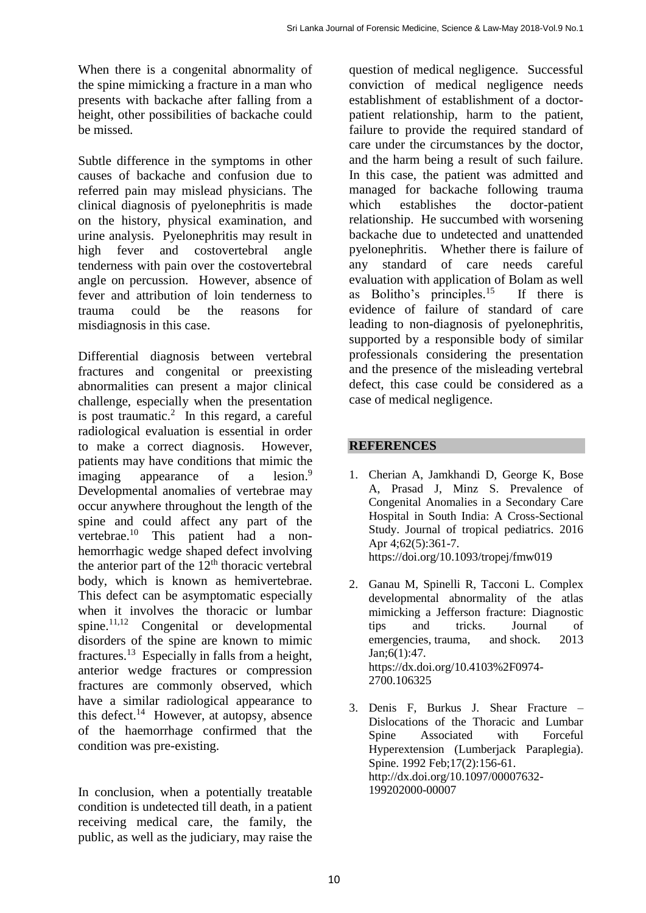When there is a congenital abnormality of the spine mimicking a fracture in a man who presents with backache after falling from a height, other possibilities of backache could be missed.

Subtle difference in the symptoms in other causes of backache and confusion due to referred pain may mislead physicians. The clinical diagnosis of pyelonephritis is made on the history, physical examination, and urine analysis. Pyelonephritis may result in high fever and costovertebral angle tenderness with pain over the costovertebral angle on percussion. However, absence of fever and attribution of loin tenderness to trauma could be the reasons for misdiagnosis in this case.

Differential diagnosis between vertebral fractures and congenital or preexisting abnormalities can present a major clinical challenge, especially when the presentation is post traumatic. 2 In this regard, a careful radiological evaluation is essential in order to make a correct diagnosis. However, patients may have conditions that mimic the imaging appearance of a  $lesion.<sup>9</sup>$ Developmental anomalies of vertebrae may occur anywhere throughout the length of the spine and could affect any part of the vertebrae.<sup>10</sup> This patient had a nonhemorrhagic wedge shaped defect involving the anterior part of the  $12<sup>th</sup>$  thoracic vertebral body, which is known as hemivertebrae. This defect can be asymptomatic especially when it involves the thoracic or lumbar spine. 11,12 Congenital or developmental disorders of the spine are known to mimic fractures.<sup>13</sup> Especially in falls from a height, anterior wedge fractures or compression fractures are commonly observed, which have a similar radiological appearance to this defect. 14 However, at autopsy, absence of the haemorrhage confirmed that the condition was pre-existing.

In conclusion, when a potentially treatable condition is undetected till death, in a patient receiving medical care, the family, the public, as well as the judiciary, may raise the question of medical negligence. Successful conviction of medical negligence needs establishment of establishment of a doctorpatient relationship, harm to the patient, failure to provide the required standard of care under the circumstances by the doctor, and the harm being a result of such failure. In this case, the patient was admitted and managed for backache following trauma which establishes the doctor-patient relationship. He succumbed with worsening backache due to undetected and unattended pyelonephritis. Whether there is failure of any standard of care needs careful evaluation with application of Bolam as well as Bolitho's principles.<sup>15</sup> <sup>15</sup> If there is evidence of failure of standard of care leading to non-diagnosis of pyelonephritis, supported by a responsible body of similar professionals considering the presentation and the presence of the misleading vertebral defect, this case could be considered as a case of medical negligence.

## **REFERENCES**

- 1. Cherian A, Jamkhandi D, George K, Bose A, Prasad J, Minz S. Prevalence of Congenital Anomalies in a Secondary Care Hospital in South India: A Cross-Sectional Study. Journal of tropical pediatrics. 2016 Apr 4;62(5):361-7. https://doi.org/10.1093/tropej/fmw019
- 2. Ganau M, Spinelli R, Tacconi L. Complex developmental abnormality of the atlas mimicking a Jefferson fracture: Diagnostic tips and tricks. Journal of emergencies, trauma, and shock. 2013 Jan;6(1):47. https://dx.doi.org/10.4103%2F0974- 2700.106325
- 3. Denis F, Burkus J. Shear Fracture Dislocations of the Thoracic and Lumbar Spine Associated with Forceful Hyperextension (Lumberjack Paraplegia). Spine. 1992 Feb;17(2):156-61. http://dx.doi.org/10.1097/00007632- 199202000-00007